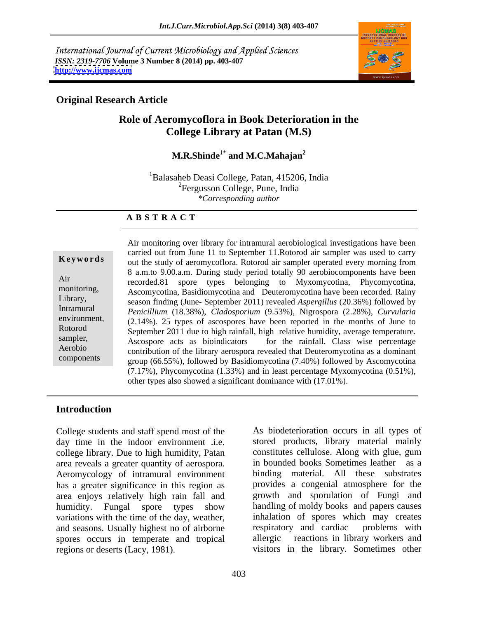International Journal of Current Microbiology and Applied Sciences *ISSN: 2319-7706* **Volume 3 Number 8 (2014) pp. 403-407 <http://www.ijcmas.com>**



### **Original Research Article**

## **Role of Aeromycoflora in Book Deterioration in the College Library at Patan (M.S)**

**M.R.Shinde<sup>1\*</sup>** and **M.C.Mahajan<sup>2</sup> and M.C.Mahajan<sup>2</sup>**

<sup>1</sup>Balasaheb Deasi College, Patan, 415206, India <sup>2</sup>Fergusson College, Pune, India *\*Corresponding author* 

### **A B S T R A C T**

**Keywords** out the study of aeromycoflora. Rotorod air sampler operated every morning from Air recorded.81 spore types belonging to Myxomycotina, Phycomycotina, monitoring, Ascomycotina, Basidiomycotina and Deuteromycotina have been recorded. Rainy Library, season finding (June- September 2011) revealed *Aspergillus* (20.36%) followed by Intramural Penicillium (18.38%), Cladosporium (9.53%), Nigrospora (2.28%), Curvularia environment, *Penicillium* (18.38%), *Cladosporium* (9.53%), Nigrospora (2.28%), *Curvularia* (2.14%). <sup>25</sup> types of ascospores have been reported in the months of June to Rotorod September 2011 due to high rainfall, high relative humidity, average temperature. sampler,<br>
Ascospore acts as bioindicators for the rainfall. Class wise percentage Aerobio contribution of the library aerospora revealed that Deuteromycotina as a dominant components group (66.55%), followed by Basidiomycotina (7.40%) followed by Ascomycotina Air monitoring over library for intramural aerobiological investigations have been carried out from June 11 to September 11.Rotorod air sampler was used to carry 8 a.m.to 9.00.a.m. During study period totally 90 aerobiocomponents have been (7.17%), Phycomycotina (1.33%) and in least percentage Myxomycotina (0.51%), other types also showed a significant dominance with (17.01%).

## **Introduction**

College students and staff spend most of the day time in the indoor environment .i.e. college library. Due to high humidity, Patan area reveals a greater quantity of aerospora. Aeromycology of intramural environment has a greater significance in this region as area enjoys relatively high rain fall and humidity. Fungal spore types show variations with the time of the day, weather, inhalation of spores when and seasons. Usually highest no of airborne respiratory and cardiac and seasons. Usually highest no of airborne respiratory and cardiac problems with spores occurs in temperate and tropical

regions or deserts (Lacy, 1981). visitors in the library. Sometimes other As biodeterioration occurs in all types of stored products, library material mainly constitutes cellulose. Along with glue, gum in bounded books Sometimes leather binding material. All these substrates provides a congenial atmosphere for the growth and sporulation of Fungi and handling of moldy books and papers causes inhalation of spores which may creates respiratory and cardiac problems with reactions in library workers and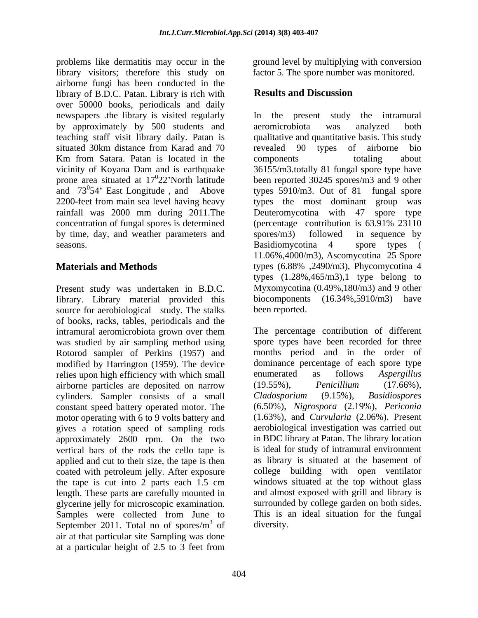problems like dermatitis may occur in the ground level by multiplying with conversion library visitors; therefore this study on airborne fungi has been conducted in the<br>
library of B D C Patan Library is rich with<br> **Results and Discussion** library of B.D.C. Patan. Library is rich with over 50000 books, periodicals and daily newspapers the library is visited regularly line the present study the intramural by approximately by 500 students and aeromicrobiota was analyzed both Km from Satara. Patan is located in the components totaling about rainfall was 2000 mm during 2011.The by time, day, and weather parameters and spores/m3) followed in sequence by seasons. The seasons is not be a seasons. Basidiomycotina 4 spore types (

Present study was undertaken in B.D.C. library. Library material provided this source for aerobiological study. The stalks of books, racks, tables, periodicals and the intramural aeromicrobiota grown over them was studied by air sampling method using Rotorod sampler of Perkins (1957) and modified by Harrington (1959). The device relies upon high efficiency with which small enumerated as follows Aspergillus airborne particles are deposited on narrow (19.55%), Penicillium (17.66%), cylinders. Sampler consists of a small Cladosporium (9.15%), Basidiospores constant speed battery operated motor. The motor operating with 6 to 9 volts battery and gives a rotation speed of sampling rods approximately 2600 rpm. On the two vertical bars of the rods the cello tape is applied and cut to their size, the tape is then coated with petroleum jelly. After exposure the tape is cut into 2 parts each 1.5 cm length. These parts are carefully mounted in glycerine jelly for microscopic examination. Samples were collected from June to September 2011. Total no of spores/ $m<sup>3</sup>$  of air at that particular site Sampling was done at a particular height of 2.5 to 3 feet from

factor 5. The spore number was monitored.

# **Results and Discussion**

teaching staff visit library daily. Patan is qualitative and quantitative basis. This study situated 30km distance from Karad and 70 revealed 90 types of airborne bio vicinity of Koyana Dam and is earthquake 36155/m3.totally 81 fungal spore type have prone area situated at 17<sup>0</sup>22'North latitude been reported 30245 spores/m3 and 9 other and  $73^{\circ}54'$  East Longitude, and Above types  $5910/m3$ . Out of 81 fungal spore 2200-feet from main sea level having heavy types the most dominant group was concentration of fungal spores is determined (percentage contribution is 63.91% 23110 **Materials and Methods** types (6.88% ,2490/m3), Phycomycotina 4 In the present study the intramural aeromicrobiota was analyzed both revealed 90 types of airborne bio components totaling about Deuteromycotina with 47 spores/m3) followed in sequence by Basidiomycotina 4 spore types ( 11.06%,4000/m3), Ascomycotina 25 Spore types  $(1.28\%, 465/m3)$ , type belong to Myxomycotina (0.49%,180/m3) and 9 other biocomponents (16.34%,5910/m3) have been reported.

 $\frac{3}{2}$  of diversity of diversity. The percentage contribution of different spore types have been recorded for three months period and in the order of dominance percentage of each spore type enumerated as follows *Aspergillus* (19.55%), *Penicillium* (17.66%), *Cladosporium* (9.15%), *Basidiospores* (6.50%), *Nigrospora* (2.19%), *Periconia*  (1.63%), and *Curvularia* (2.06%). Present aerobiological investigation was carried out in BDC library at Patan. The library location is ideal for study of intramural environment as library is situated at the basement of college building with open ventilator windows situated at the top without glass and almost exposed with grill and library is surrounded by college garden on both sides. This is an ideal situation for the fungal diversity.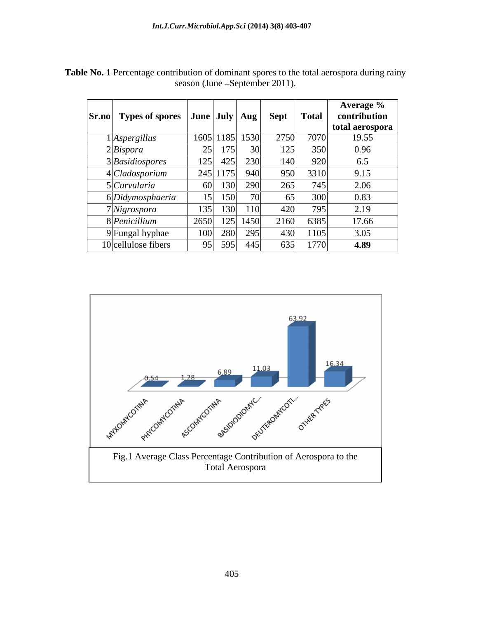| Sr.no | Types of spores $ $ June $ $ July $ $ Aug $ $ |                 |                     | <b>Sept</b> |      | <b>Total</b> | Average %<br>contribution |
|-------|-----------------------------------------------|-----------------|---------------------|-------------|------|--------------|---------------------------|
|       |                                               |                 |                     |             |      |              | total aerospora           |
|       | <i>Aspergillus</i>                            |                 | 1605 1185 1530      |             | 2750 | 7070         | 19.55                     |
|       | $2$ <i>Bispora</i>                            | 25              | 175                 |             | 125  | 350          | 0.96                      |
|       | 3Basidiospores                                | 125             | 425                 | 230         | 140  | 920          | 6.5                       |
|       | 4 Cladosporium                                |                 | 245 1175            | 940         | 950  | 3310         | 9.15                      |
|       | SCurvularia                                   | 60              | $\sim$ 0.0<br>1 J V | 290         | 265  | 745          | 2.06                      |
|       | 6 Didymosphaeria                              | 15 <sup>1</sup> | 150<br>10 V         |             |      | 300          | 0.83                      |
|       | Nigrospora                                    | 135             | 100<br>150          | <b>110</b>  | 420  | 795          | 2.19                      |
|       | 8 <i>Penicillium</i>                          | 2650            | 125                 | 1450        | 2160 | 6385         | 17.66                     |
|       | 9 Fungal hyphae                               | 100             | 280                 | 295         | 430  | 1105         | 3.05                      |
|       | 10 cellulose fibers                           |                 | 95 595              | 445         | 635  | 1770         | 4.89                      |

**Table No. 1** Percentage contribution of dominant spores to the total aerospora during rainy season (June -September 2011).

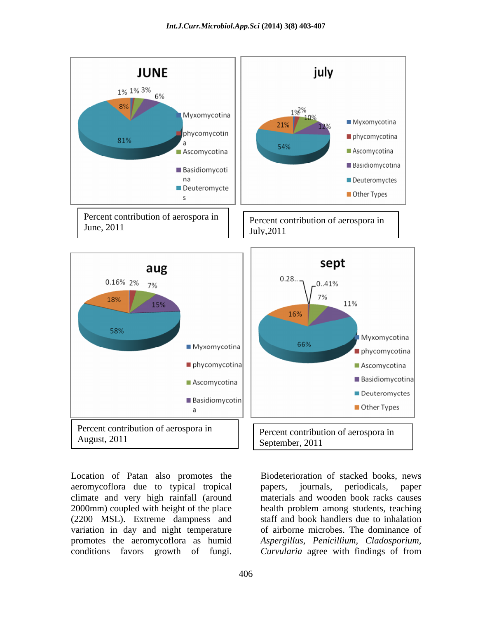

aeromycoflora due to typical tropical papers, journals, periodicals, paper climate and very high rainfall (around 2000mm) coupled with height of the place health problem among students, teaching (2200 MSL). Extreme dampness and variation in day and night temperature promotes the aeromycoflora as humid Aspergillus, Penicillium, Cladosporium, Location of Patan also promotes the<br>
aeromycoflora due to typical tropical<br>
climate and very high rainfall (around materials and wooden book racks causes<br>
2000mm) coupled with height of the place<br>
(2200 MSL). Extreme dampn

papers, journals, periodicals, paper materials and wooden book racks causes staff and book handlers due to inhalation of airborne microbes. The dominance of *Aspergillus, Penicillium, Cladosporium,Curvularia* agree with findings of from